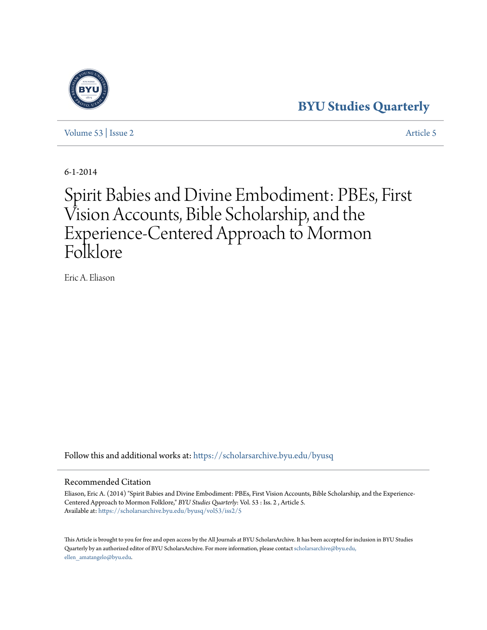## **[BYU Studies Quarterly](https://scholarsarchive.byu.edu/byusq?utm_source=scholarsarchive.byu.edu%2Fbyusq%2Fvol53%2Fiss2%2F5&utm_medium=PDF&utm_campaign=PDFCoverPages)**

[Volume 53](https://scholarsarchive.byu.edu/byusq/vol53?utm_source=scholarsarchive.byu.edu%2Fbyusq%2Fvol53%2Fiss2%2F5&utm_medium=PDF&utm_campaign=PDFCoverPages) | [Issue 2](https://scholarsarchive.byu.edu/byusq/vol53/iss2?utm_source=scholarsarchive.byu.edu%2Fbyusq%2Fvol53%2Fiss2%2F5&utm_medium=PDF&utm_campaign=PDFCoverPages) [Article 5](https://scholarsarchive.byu.edu/byusq/vol53/iss2/5?utm_source=scholarsarchive.byu.edu%2Fbyusq%2Fvol53%2Fiss2%2F5&utm_medium=PDF&utm_campaign=PDFCoverPages)

6-1-2014

# Spirit Babies and Divine Embodiment: PBEs, First Vision Accounts, Bible Scholarship, and the Experience-Centered Approach to Mormon Folklore

Eric A. Eliason

Follow this and additional works at: [https://scholarsarchive.byu.edu/byusq](https://scholarsarchive.byu.edu/byusq?utm_source=scholarsarchive.byu.edu%2Fbyusq%2Fvol53%2Fiss2%2F5&utm_medium=PDF&utm_campaign=PDFCoverPages)

#### Recommended Citation

Eliason, Eric A. (2014) "Spirit Babies and Divine Embodiment: PBEs, First Vision Accounts, Bible Scholarship, and the Experience-Centered Approach to Mormon Folklore," *BYU Studies Quarterly*: Vol. 53 : Iss. 2 , Article 5. Available at: [https://scholarsarchive.byu.edu/byusq/vol53/iss2/5](https://scholarsarchive.byu.edu/byusq/vol53/iss2/5?utm_source=scholarsarchive.byu.edu%2Fbyusq%2Fvol53%2Fiss2%2F5&utm_medium=PDF&utm_campaign=PDFCoverPages)

This Article is brought to you for free and open access by the All Journals at BYU ScholarsArchive. It has been accepted for inclusion in BYU Studies Quarterly by an authorized editor of BYU ScholarsArchive. For more information, please contact [scholarsarchive@byu.edu,](mailto:scholarsarchive@byu.edu,%20ellen_amatangelo@byu.edu) [ellen\\_amatangelo@byu.edu.](mailto:scholarsarchive@byu.edu,%20ellen_amatangelo@byu.edu)

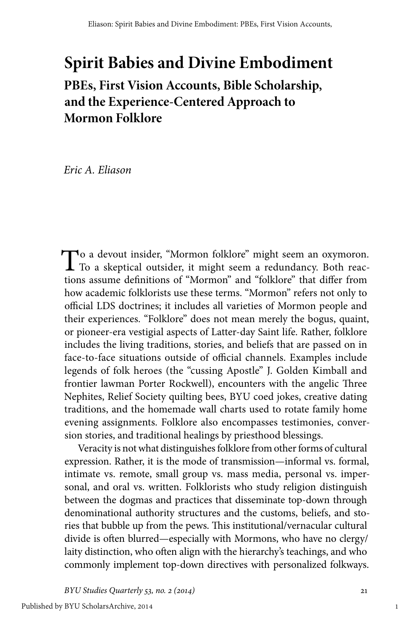## **Spirit Babies and Divine Embodiment**

### **PBEs, First Vision Accounts, Bible Scholarship, and the Experience-Centered Approach to Mormon Folklore**

*Eric A. Eliason*

To a devout insider, "Mormon folklore" might seem an oxymoron.<br>To a skeptical outsider, it might seem a redundancy. Both reactions assume definitions of "Mormon" and "folklore" that differ from how academic folklorists use these terms. "Mormon" refers not only to official LDS doctrines; it includes all varieties of Mormon people and their experiences. "Folklore" does not mean merely the bogus, quaint, or pioneer-era vestigial aspects of Latter-day Saint life. Rather, folklore includes the living traditions, stories, and beliefs that are passed on in face-to-face situations outside of official channels. Examples include legends of folk heroes (the "cussing Apostle" J. Golden Kimball and frontier lawman Porter Rockwell), encounters with the angelic Three Nephites, Relief Society quilting bees, BYU coed jokes, creative dating traditions, and the homemade wall charts used to rotate family home evening assignments. Folklore also encompasses testimonies, conversion stories, and traditional healings by priesthood blessings.

Veracity is not what distinguishes folklore from other forms of cultural expression. Rather, it is the mode of transmission—informal vs. formal, intimate vs. remote, small group vs. mass media, personal vs. impersonal, and oral vs. written. Folklorists who study religion distinguish between the dogmas and practices that disseminate top-down through denominational authority structures and the customs, beliefs, and stories that bubble up from the pews. This institutional/vernacular cultural divide is often blurred—especially with Mormons, who have no clergy/ laity distinction, who often align with the hierarchy's teachings, and who commonly implement top-down directives with personalized folkways.

*BYU Studies Quarterly 53, no. 2 (2014)* 21

1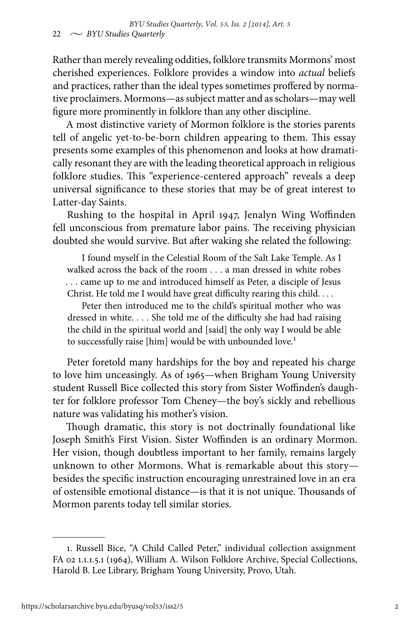Rather than merely revealing oddities, folklore transmits Mormons' most cherished experiences. Folklore provides a window into *actual* beliefs and practices, rather than the ideal types sometimes proffered by normative proclaimers. Mormons—as subject matter and as scholars—may well figure more prominently in folklore than any other discipline.

A most distinctive variety of Mormon folklore is the stories parents tell of angelic yet-to-be-born children appearing to them. This essay presents some examples of this phenomenon and looks at how dramatically resonant they are with the leading theoretical approach in religious folklore studies. This "experience-centered approach" reveals a deep universal significance to these stories that may be of great interest to Latter-day Saints.

Rushing to the hospital in April 1947, Jenalyn Wing Woffinden fell unconscious from premature labor pains. The receiving physician doubted she would survive. But after waking she related the following:

I found myself in the Celestial Room of the Salt Lake Temple. As I walked across the back of the room . . . a man dressed in white robes . . . came up to me and introduced himself as Peter, a disciple of Jesus Christ. He told me I would have great difficulty rearing this child. . . .

Peter then introduced me to the child's spiritual mother who was dressed in white. . . . She told me of the difficulty she had had raising the child in the spiritual world and [said] the only way I would be able to successfully raise [him] would be with unbounded love.<sup>1</sup>

Peter foretold many hardships for the boy and repeated his charge to love him unceasingly. As of 1965—when Brigham Young University student Russell Bice collected this story from Sister Woffinden's daughter for folklore professor Tom Cheney—the boy's sickly and rebellious nature was validating his mother's vision.

Though dramatic, this story is not doctrinally foundational like Joseph Smith's First Vision. Sister Woffinden is an ordinary Mormon. Her vision, though doubtless important to her family, remains largely unknown to other Mormons. What is remarkable about this story besides the specific instruction encouraging unrestrained love in an era of ostensible emotional distance—is that it is not unique. Thousands of Mormon parents today tell similar stories.

<sup>1.</sup> Russell Bice, "A Child Called Peter," individual collection assignment FA 02 1.1.1.5.1 (1964), William A. Wilson Folklore Archive, Special Collections, Harold B. Lee Library, Brigham Young University, Provo, Utah.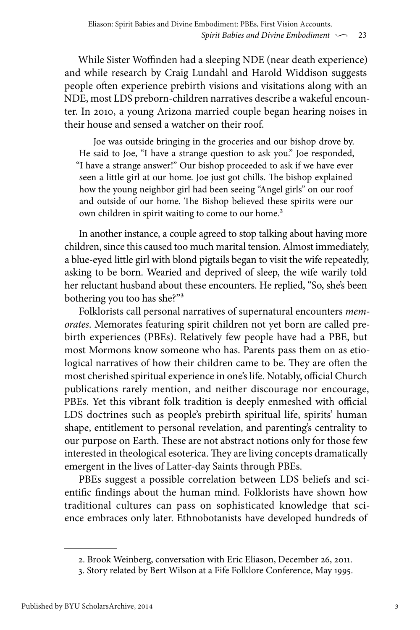While Sister Woffinden had a sleeping NDE (near death experience) and while research by Craig Lundahl and Harold Widdison suggests people often experience prebirth visions and visitations along with an NDE, most LDS preborn-children narratives describe a wakeful encounter. In 2010, a young Arizona married couple began hearing noises in their house and sensed a watcher on their roof.

Joe was outside bringing in the groceries and our bishop drove by. He said to Joe, "I have a strange question to ask you." Joe responded, "I have a strange answer!" Our bishop proceeded to ask if we have ever seen a little girl at our home. Joe just got chills. The bishop explained how the young neighbor girl had been seeing "Angel girls" on our roof and outside of our home. The Bishop believed these spirits were our own children in spirit waiting to come to our home.<sup>2</sup>

In another instance, a couple agreed to stop talking about having more children, since this caused too much marital tension. Almost immediately, a blue-eyed little girl with blond pigtails began to visit the wife repeatedly, asking to be born. Wearied and deprived of sleep, the wife warily told her reluctant husband about these encounters. He replied, "So, she's been bothering you too has she?"3

Folklorists call personal narratives of supernatural encounters *memorates*. Memorates featuring spirit children not yet born are called prebirth experiences (PBEs). Relatively few people have had a PBE, but most Mormons know someone who has. Parents pass them on as etiological narratives of how their children came to be. They are often the most cherished spiritual experience in one's life. Notably, official Church publications rarely mention, and neither discourage nor encourage, PBEs. Yet this vibrant folk tradition is deeply enmeshed with official LDS doctrines such as people's prebirth spiritual life, spirits' human shape, entitlement to personal revelation, and parenting's centrality to our purpose on Earth. These are not abstract notions only for those few interested in theological esoterica. They are living concepts dramatically emergent in the lives of Latter-day Saints through PBEs.

PBEs suggest a possible correlation between LDS beliefs and scientific findings about the human mind. Folklorists have shown how traditional cultures can pass on sophisticated knowledge that science embraces only later. Ethnobotanists have developed hundreds of

<sup>2.</sup> Brook Weinberg, conversation with Eric Eliason, December 26, 2011.

<sup>3.</sup> Story related by Bert Wilson at a Fife Folklore Conference, May 1995.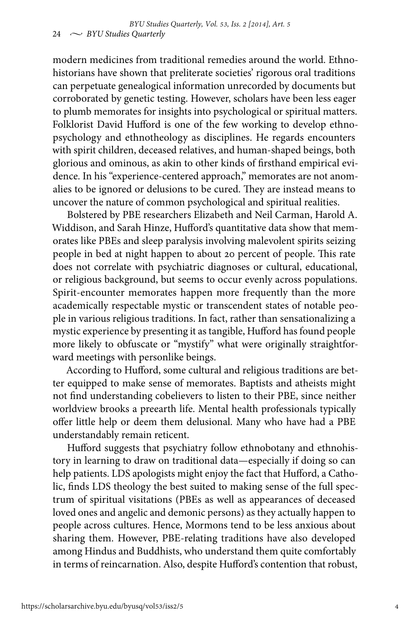modern medicines from traditional remedies around the world. Ethnohistorians have shown that preliterate societies' rigorous oral traditions can perpetuate genealogical information unrecorded by documents but corroborated by genetic testing. However, scholars have been less eager to plumb memorates for insights into psychological or spiritual matters. Folklorist David Hufford is one of the few working to develop ethnopsychology and ethnotheology as disciplines. He regards encounters with spirit children, deceased relatives, and human-shaped beings, both glorious and ominous, as akin to other kinds of firsthand empirical evidence. In his "experience-centered approach," memorates are not anomalies to be ignored or delusions to be cured. They are instead means to uncover the nature of common psychological and spiritual realities.

Bolstered by PBE researchers Elizabeth and Neil Carman, Harold A. Widdison, and Sarah Hinze, Hufford's quantitative data show that memorates like PBEs and sleep paralysis involving malevolent spirits seizing people in bed at night happen to about 20 percent of people. This rate does not correlate with psychiatric diagnoses or cultural, educational, or religious background, but seems to occur evenly across populations. Spirit-encounter memorates happen more frequently than the more academically respectable mystic or transcendent states of notable people in various religious traditions. In fact, rather than sensationalizing a mystic experience by presenting it as tangible, Hufford has found people more likely to obfuscate or "mystify" what were originally straightforward meetings with personlike beings.

According to Hufford, some cultural and religious traditions are better equipped to make sense of memorates. Baptists and atheists might not find understanding cobelievers to listen to their PBE, since neither worldview brooks a preearth life. Mental health professionals typically offer little help or deem them delusional. Many who have had a PBE understandably remain reticent.

Hufford suggests that psychiatry follow ethnobotany and ethnohistory in learning to draw on traditional data—especially if doing so can help patients. LDS apologists might enjoy the fact that Hufford, a Catholic, finds LDS theology the best suited to making sense of the full spectrum of spiritual visitations (PBEs as well as appearances of deceased loved ones and angelic and demonic persons) as they actually happen to people across cultures. Hence, Mormons tend to be less anxious about sharing them. However, PBE-relating traditions have also developed among Hindus and Buddhists, who understand them quite comfortably in terms of reincarnation. Also, despite Hufford's contention that robust,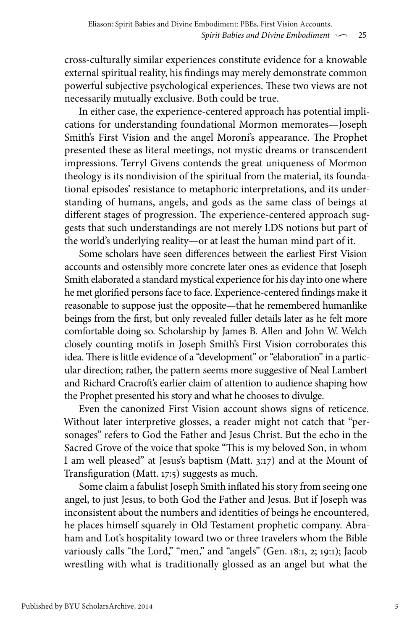cross-culturally similar experiences constitute evidence for a knowable external spiritual reality, his findings may merely demonstrate common powerful subjective psychological experiences. These two views are not necessarily mutually exclusive. Both could be true.

In either case, the experience-centered approach has potential implications for understanding foundational Mormon memorates—Joseph Smith's First Vision and the angel Moroni's appearance. The Prophet presented these as literal meetings, not mystic dreams or transcendent impressions. Terryl Givens contends the great uniqueness of Mormon theology is its nondivision of the spiritual from the material, its foundational episodes' resistance to metaphoric interpretations, and its understanding of humans, angels, and gods as the same class of beings at different stages of progression. The experience-centered approach suggests that such understandings are not merely LDS notions but part of the world's underlying reality—or at least the human mind part of it.

Some scholars have seen differences between the earliest First Vision accounts and ostensibly more concrete later ones as evidence that Joseph Smith elaborated a standard mystical experience for his day into one where he met glorified persons face to face. Experience-centered findings make it reasonable to suppose just the opposite—that he remembered humanlike beings from the first, but only revealed fuller details later as he felt more comfortable doing so. Scholarship by James B. Allen and John W. Welch closely counting motifs in Joseph Smith's First Vision corroborates this idea. There is little evidence of a "development" or "elaboration" in a particular direction; rather, the pattern seems more suggestive of Neal Lambert and Richard Cracroft's earlier claim of attention to audience shaping how the Prophet presented his story and what he chooses to divulge.

Even the canonized First Vision account shows signs of reticence. Without later interpretive glosses, a reader might not catch that "personages" refers to God the Father and Jesus Christ. But the echo in the Sacred Grove of the voice that spoke "This is my beloved Son, in whom I am well pleased" at Jesus's baptism (Matt. 3:17) and at the Mount of Transfiguration (Matt. 17:5) suggests as much.

Some claim a fabulist Joseph Smith inflated his story from seeing one angel, to just Jesus, to both God the Father and Jesus. But if Joseph was inconsistent about the numbers and identities of beings he encountered, he places himself squarely in Old Testament prophetic company. Abraham and Lot's hospitality toward two or three travelers whom the Bible variously calls "the Lord," "men," and "angels" (Gen. 18:1, 2; 19:1); Jacob wrestling with what is traditionally glossed as an angel but what the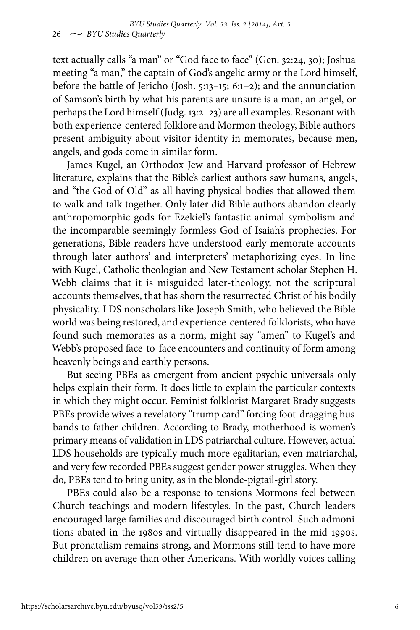text actually calls "a man" or "God face to face" (Gen. 32:24, 30); Joshua meeting "a man," the captain of God's angelic army or the Lord himself, before the battle of Jericho (Josh. 5:13–15; 6:1–2); and the annunciation of Samson's birth by what his parents are unsure is a man, an angel, or perhaps the Lord himself (Judg. 13:2–23) are all examples. Resonant with both experience-centered folklore and Mormon theology, Bible authors present ambiguity about visitor identity in memorates, because men, angels, and gods come in similar form.

James Kugel, an Orthodox Jew and Harvard professor of Hebrew literature, explains that the Bible's earliest authors saw humans, angels, and "the God of Old" as all having physical bodies that allowed them to walk and talk together. Only later did Bible authors abandon clearly anthropomorphic gods for Ezekiel's fantastic animal symbolism and the incomparable seemingly formless God of Isaiah's prophecies. For generations, Bible readers have understood early memorate accounts through later authors' and interpreters' metaphorizing eyes. In line with Kugel, Catholic theologian and New Testament scholar Stephen H. Webb claims that it is misguided later-theology, not the scriptural accounts themselves, that has shorn the resurrected Christ of his bodily physicality. LDS nonscholars like Joseph Smith, who believed the Bible world was being restored, and experience-centered folklorists, who have found such memorates as a norm, might say "amen" to Kugel's and Webb's proposed face-to-face encounters and continuity of form among heavenly beings and earthly persons.

But seeing PBEs as emergent from ancient psychic universals only helps explain their form. It does little to explain the particular contexts in which they might occur. Feminist folklorist Margaret Brady suggests PBEs provide wives a revelatory "trump card" forcing foot-dragging husbands to father children. According to Brady, motherhood is women's primary means of validation in LDS patriarchal culture. However, actual LDS households are typically much more egalitarian, even matriarchal, and very few recorded PBEs suggest gender power struggles. When they do, PBEs tend to bring unity, as in the blonde-pigtail-girl story.

PBEs could also be a response to tensions Mormons feel between Church teachings and modern lifestyles. In the past, Church leaders encouraged large families and discouraged birth control. Such admonitions abated in the 1980s and virtually disappeared in the mid-1990s. But pronatalism remains strong, and Mormons still tend to have more children on average than other Americans. With worldly voices calling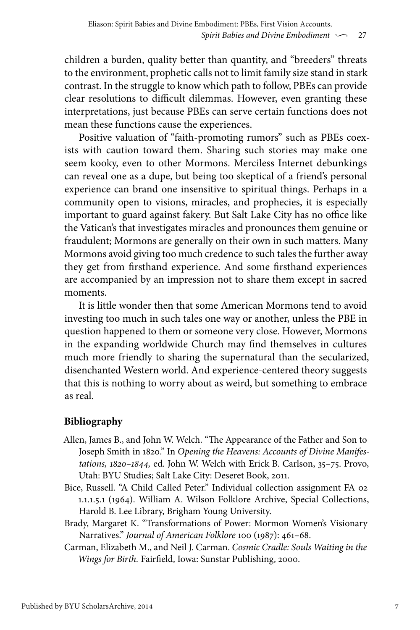children a burden, quality better than quantity, and "breeders" threats to the environment, prophetic calls not to limit family size stand in stark contrast. In the struggle to know which path to follow, PBEs can provide clear resolutions to difficult dilemmas. However, even granting these interpretations, just because PBEs can serve certain functions does not mean these functions cause the experiences.

Positive valuation of "faith-promoting rumors" such as PBEs coexists with caution toward them. Sharing such stories may make one seem kooky, even to other Mormons. Merciless Internet debunkings can reveal one as a dupe, but being too skeptical of a friend's personal experience can brand one insensitive to spiritual things. Perhaps in a community open to visions, miracles, and prophecies, it is especially important to guard against fakery. But Salt Lake City has no office like the Vatican's that investigates miracles and pronounces them genuine or fraudulent; Mormons are generally on their own in such matters. Many Mormons avoid giving too much credence to such tales the further away they get from firsthand experience. And some firsthand experiences are accompanied by an impression not to share them except in sacred moments.

It is little wonder then that some American Mormons tend to avoid investing too much in such tales one way or another, unless the PBE in question happened to them or someone very close. However, Mormons in the expanding worldwide Church may find themselves in cultures much more friendly to sharing the supernatural than the secularized, disenchanted Western world. And experience-centered theory suggests that this is nothing to worry about as weird, but something to embrace as real.

#### **Bibliography**

- Allen, James B., and John W. Welch. "The Appearance of the Father and Son to Joseph Smith in 1820." In *Opening the Heavens: Accounts of Divine Manifestations, 1820–1844,* ed. John W. Welch with Erick B. Carlson, 35–75. Provo, Utah: BYU Studies; Salt Lake City: Deseret Book, 2011.
- Bice, Russell. "A Child Called Peter." Individual collection assignment FA 02 1.1.1.5.1 (1964). William A. Wilson Folklore Archive, Special Collections, Harold B. Lee Library, Brigham Young University.
- Brady, Margaret K. "Transformations of Power: Mormon Women's Visionary Narratives." *Journal of American Folklore* 100 (1987): 461–68.
- Carman, Elizabeth M., and Neil J. Carman. *Cosmic Cradle: Souls Waiting in the Wings for Birth.* Fairfield, Iowa: Sunstar Publishing, 2000.